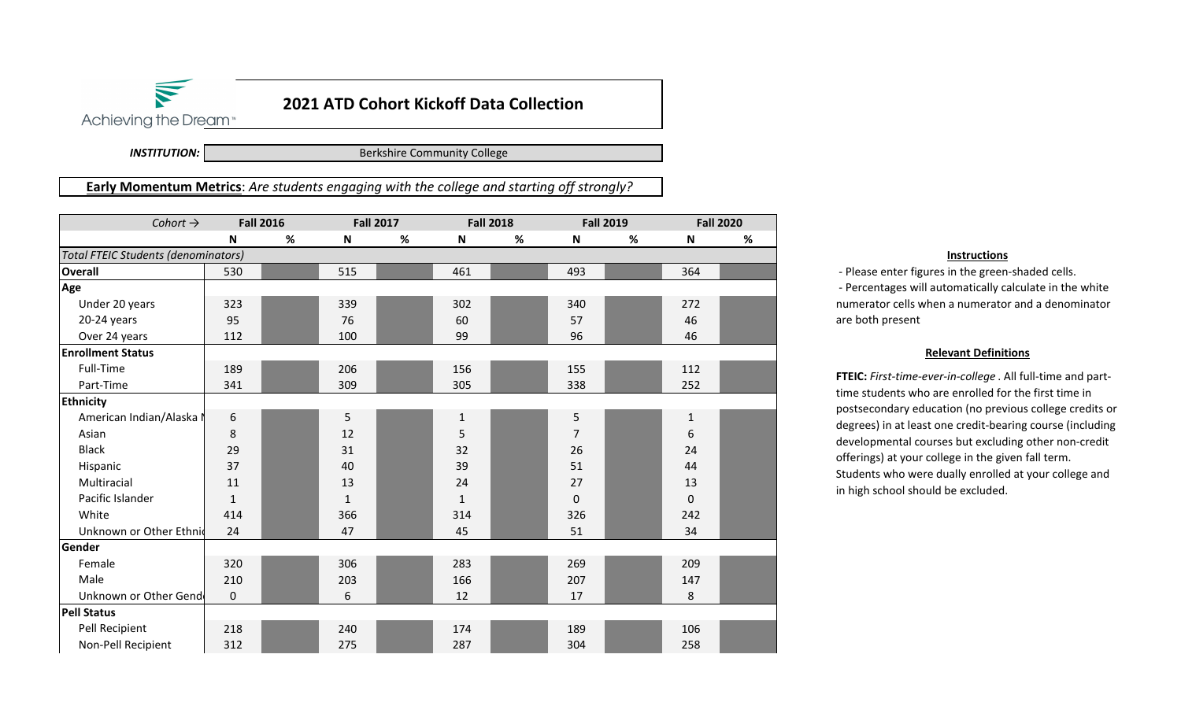## **2021 ATD Cohort Kickoff Data Collection**

Achieving the Dream<sup>®</sup>

 $\blacktriangledown$ 

*INSTITUTION:*

Berkshire Community College

**Early Momentum Metrics**: *Are students engaging with the college and starting off strongly?*

| Cohort $\rightarrow$                       | <b>Fall 2016</b> |      | <b>Fall 2017</b> |      | <b>Fall 2018</b> |   | <b>Fall 2019</b> |      | <b>Fall 2020</b> |   |
|--------------------------------------------|------------------|------|------------------|------|------------------|---|------------------|------|------------------|---|
|                                            | $\mathsf{N}$     | $\%$ | N                | $\%$ | ${\bf N}$        | % | N                | $\%$ | ${\sf N}$        | % |
| <b>Total FTEIC Students (denominators)</b> |                  |      |                  |      |                  |   |                  |      |                  |   |
| <b>Overall</b>                             | 530              |      | 515              |      | 461              |   | 493              |      | 364              |   |
| Age                                        |                  |      |                  |      |                  |   |                  |      |                  |   |
| Under 20 years                             | 323              |      | 339              |      | 302              |   | 340              |      | 272              |   |
| 20-24 years                                | 95               |      | 76               |      | 60               |   | 57               |      | 46               |   |
| Over 24 years                              | 112              |      | 100              |      | 99               |   | 96               |      | 46               |   |
| <b>Enrollment Status</b>                   |                  |      |                  |      |                  |   |                  |      |                  |   |
| Full-Time                                  | 189              |      | 206              |      | 156              |   | 155              |      | 112              |   |
| Part-Time                                  | 341              |      | 309              |      | 305              |   | 338              |      | 252              |   |
| <b>Ethnicity</b>                           |                  |      |                  |      |                  |   |                  |      |                  |   |
| American Indian/Alaska N                   | 6                |      | 5                |      | 1                |   | 5                |      | $\mathbf{1}$     |   |
| Asian                                      | 8                |      | 12               |      | 5                |   | 7                |      | 6                |   |
| <b>Black</b>                               | 29               |      | 31               |      | 32               |   | 26               |      | 24               |   |
| Hispanic                                   | 37               |      | 40               |      | 39               |   | 51               |      | 44               |   |
| Multiracial                                | 11               |      | 13               |      | 24               |   | 27               |      | 13               |   |
| Pacific Islander                           | $\mathbf 1$      |      | $\mathbf{1}$     |      | 1                |   | 0                |      | $\mathbf 0$      |   |
| White                                      | 414              |      | 366              |      | 314              |   | 326              |      | 242              |   |
| Unknown or Other Ethnic                    | 24               |      | 47               |      | 45               |   | 51               |      | 34               |   |
| Gender                                     |                  |      |                  |      |                  |   |                  |      |                  |   |
| Female                                     | 320              |      | 306              |      | 283              |   | 269              |      | 209              |   |
| Male                                       | 210              |      | 203              |      | 166              |   | 207              |      | 147              |   |
| Unknown or Other Gend                      | $\bf 0$          |      | 6                |      | 12               |   | 17               |      | 8                |   |
| <b>Pell Status</b>                         |                  |      |                  |      |                  |   |                  |      |                  |   |
| Pell Recipient                             | 218              |      | 240              |      | 174              |   | 189              |      | 106              |   |
| Non-Pell Recipient                         | 312              |      | 275              |      | 287              |   | 304              |      | 258              |   |

## **Instructions**

‐ Please enter figures in the green‐shaded cells.

 ‐ Percentages will automatically calculate in the white numerator cells when a numerator and a denominator are both present

## **Relevant Definitions**

**FTEIC:** *First‐time‐ever‐in‐college* . All full‐time and part‐ time students who are enrolled for the first time in postsecondary education (no previous college credits or degrees) in at least one credit‐bearing course (including developmental courses but excluding other non‐credit offerings) at your college in the given fall term. Students who were dually enrolled at your college and in high school should be excluded.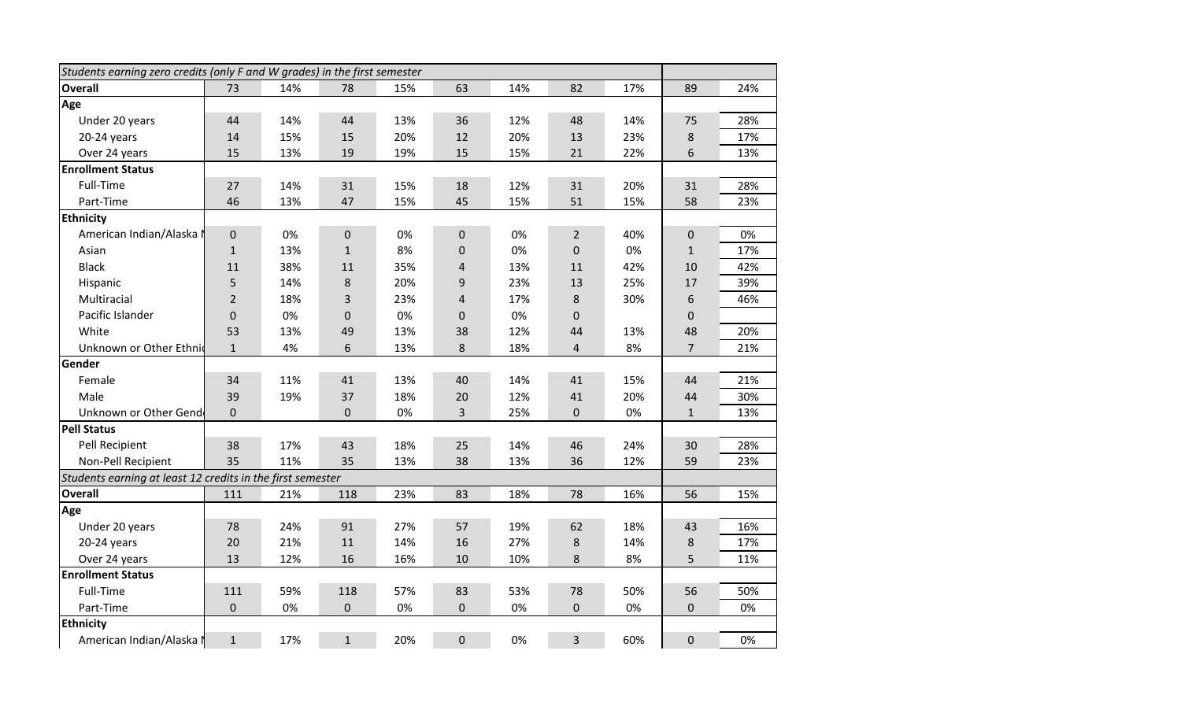| Students earning zero credits (only F and W grades) in the first semester |                |     |              |     |                |     |                |     |                |     |
|---------------------------------------------------------------------------|----------------|-----|--------------|-----|----------------|-----|----------------|-----|----------------|-----|
| <b>Overall</b>                                                            | 73             | 14% | 78           | 15% | 63             | 14% | 82             | 17% | 89             | 24% |
| Age                                                                       |                |     |              |     |                |     |                |     |                |     |
| Under 20 years                                                            | 44             | 14% | 44           | 13% | 36             | 12% | 48             | 14% | 75             | 28% |
| 20-24 years                                                               | 14             | 15% | 15           | 20% | 12             | 20% | 13             | 23% | $\bf 8$        | 17% |
| Over 24 years                                                             | 15             | 13% | 19           | 19% | 15             | 15% | 21             | 22% | 6              | 13% |
| <b>Enrollment Status</b>                                                  |                |     |              |     |                |     |                |     |                |     |
| Full-Time                                                                 | 27             | 14% | 31           | 15% | 18             | 12% | 31             | 20% | 31             | 28% |
| Part-Time                                                                 | 46             | 13% | 47           | 15% | 45             | 15% | 51             | 15% | 58             | 23% |
| <b>Ethnicity</b>                                                          |                |     |              |     |                |     |                |     |                |     |
| American Indian/Alaska N                                                  | $\pmb{0}$      | 0%  | 0            | 0%  | 0              | 0%  | $\overline{2}$ | 40% | $\pmb{0}$      | 0%  |
| Asian                                                                     | $\mathbf 1$    | 13% | $\mathbf{1}$ | 8%  | 0              | 0%  | 0              | 0%  | $\mathbf{1}$   | 17% |
| <b>Black</b>                                                              | 11             | 38% | 11           | 35% | 4              | 13% | 11             | 42% | 10             | 42% |
| Hispanic                                                                  | 5              | 14% | 8            | 20% | 9              | 23% | 13             | 25% | 17             | 39% |
| Multiracial                                                               | $\overline{2}$ | 18% | 3            | 23% | 4              | 17% | 8              | 30% | $\,$ 6 $\,$    | 46% |
| Pacific Islander                                                          | 0              | 0%  | $\pmb{0}$    | 0%  | $\mathbf 0$    | 0%  | 0              |     | $\pmb{0}$      |     |
| White                                                                     | 53             | 13% | 49           | 13% | 38             | 12% | 44             | 13% | 48             | 20% |
| Unknown or Other Ethnic                                                   | $\mathbf{1}$   | 4%  | 6            | 13% | $\bf 8$        | 18% | 4              | 8%  | $\overline{7}$ | 21% |
| Gender                                                                    |                |     |              |     |                |     |                |     |                |     |
| Female                                                                    | 34             | 11% | 41           | 13% | 40             | 14% | 41             | 15% | 44             | 21% |
| Male                                                                      | 39             | 19% | 37           | 18% | 20             | 12% | 41             | 20% | 44             | 30% |
| Unknown or Other Gend                                                     | $\mathbf 0$    |     | $\mathbf 0$  | 0%  | $\overline{3}$ | 25% | 0              | 0%  | $\mathbf{1}$   | 13% |
| <b>Pell Status</b>                                                        |                |     |              |     |                |     |                |     |                |     |
| Pell Recipient                                                            | 38             | 17% | 43           | 18% | 25             | 14% | 46             | 24% | 30             | 28% |
| Non-Pell Recipient                                                        | 35             | 11% | 35           | 13% | 38             | 13% | 36             | 12% | 59             | 23% |
| Students earning at least 12 credits in the first semester                |                |     |              |     |                |     |                |     |                |     |
| <b>Overall</b>                                                            | 111            | 21% | 118          | 23% | 83             | 18% | 78             | 16% | 56             | 15% |
| Age                                                                       |                |     |              |     |                |     |                |     |                |     |
| Under 20 years                                                            | 78             | 24% | 91           | 27% | 57             | 19% | 62             | 18% | 43             | 16% |
| 20-24 years                                                               | 20             | 21% | 11           | 14% | 16             | 27% | 8              | 14% | 8              | 17% |
| Over 24 years                                                             | 13             | 12% | 16           | 16% | 10             | 10% | 8              | 8%  | 5              | 11% |
| <b>Enrollment Status</b>                                                  |                |     |              |     |                |     |                |     |                |     |
| Full-Time                                                                 | 111            | 59% | 118          | 57% | 83             | 53% | 78             | 50% | 56             | 50% |
| Part-Time                                                                 | $\mathbf 0$    | 0%  | $\pmb{0}$    | 0%  | $\mathbf 0$    | 0%  | 0              | 0%  | $\mathbf 0$    | 0%  |
| <b>Ethnicity</b>                                                          |                |     |              |     |                |     |                |     |                |     |
| American Indian/Alaska N                                                  | $\mathbf{1}$   | 17% | $\mathbf{1}$ | 20% | 0              | 0%  | 3              | 60% | $\mathbf 0$    | 0%  |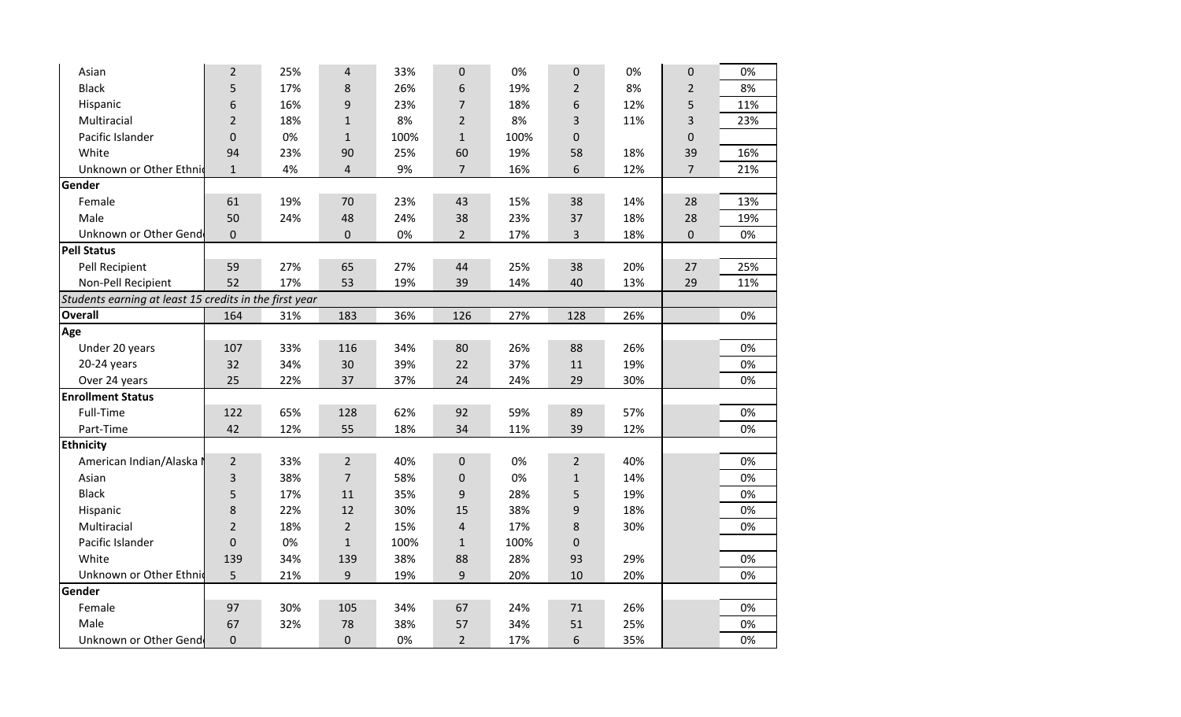| Asian                                                  | $\overline{2}$   | 25% | 4              | 33%  | 0              | 0%   | $\mathbf 0$    | 0%  | $\pmb{0}$      | 0%  |
|--------------------------------------------------------|------------------|-----|----------------|------|----------------|------|----------------|-----|----------------|-----|
| <b>Black</b>                                           | 5                | 17% | 8              | 26%  | 6              | 19%  | $\overline{2}$ | 8%  | $\overline{2}$ | 8%  |
| Hispanic                                               | 6                | 16% | 9              | 23%  | $\overline{7}$ | 18%  | 6              | 12% | 5              | 11% |
| Multiracial                                            | $\overline{2}$   | 18% | $\mathbf{1}$   | 8%   | $\overline{2}$ | 8%   | 3              | 11% | 3              | 23% |
| Pacific Islander                                       | $\boldsymbol{0}$ | 0%  | $\mathbf{1}$   | 100% | $\mathbf{1}$   | 100% | $\mathbf 0$    |     | $\pmb{0}$      |     |
| White                                                  | 94               | 23% | 90             | 25%  | 60             | 19%  | 58             | 18% | 39             | 16% |
| Unknown or Other Ethnic                                | $\mathbf{1}$     | 4%  | 4              | 9%   | $\overline{7}$ | 16%  | 6              | 12% | $\overline{7}$ | 21% |
| Gender                                                 |                  |     |                |      |                |      |                |     |                |     |
| Female                                                 | 61               | 19% | 70             | 23%  | 43             | 15%  | 38             | 14% | 28             | 13% |
| Male                                                   | 50               | 24% | 48             | 24%  | 38             | 23%  | 37             | 18% | 28             | 19% |
| Unknown or Other Gend                                  | $\mathbf 0$      |     | 0              | 0%   | $\overline{2}$ | 17%  | 3              | 18% | $\pmb{0}$      | 0%  |
| <b>Pell Status</b>                                     |                  |     |                |      |                |      |                |     |                |     |
| Pell Recipient                                         | 59               | 27% | 65             | 27%  | 44             | 25%  | 38             | 20% | 27             | 25% |
| Non-Pell Recipient                                     | 52               | 17% | 53             | 19%  | 39             | 14%  | 40             | 13% | 29             | 11% |
| Students earning at least 15 credits in the first year |                  |     |                |      |                |      |                |     |                |     |
| <b>Overall</b>                                         | 164              | 31% | 183            | 36%  | 126            | 27%  | 128            | 26% |                | 0%  |
| Age                                                    |                  |     |                |      |                |      |                |     |                |     |
| Under 20 years                                         | 107              | 33% | 116            | 34%  | 80             | 26%  | 88             | 26% |                | 0%  |
| 20-24 years                                            | 32               | 34% | 30             | 39%  | 22             | 37%  | 11             | 19% |                | 0%  |
| Over 24 years                                          | 25               | 22% | 37             | 37%  | 24             | 24%  | 29             | 30% |                | 0%  |
| <b>Enrollment Status</b>                               |                  |     |                |      |                |      |                |     |                |     |
| <b>Full-Time</b>                                       | 122              | 65% | 128            | 62%  | 92             | 59%  | 89             | 57% |                | 0%  |
| Part-Time                                              | 42               | 12% | 55             | 18%  | 34             | 11%  | 39             | 12% |                | 0%  |
| <b>Ethnicity</b>                                       |                  |     |                |      |                |      |                |     |                |     |
| American Indian/Alaska I                               | $\overline{2}$   | 33% | $\overline{2}$ | 40%  | $\mathbf 0$    | 0%   | $\overline{2}$ | 40% |                | 0%  |
| Asian                                                  | $\mathbf{3}$     | 38% | $\overline{7}$ | 58%  | $\pmb{0}$      | 0%   | $\mathbf 1$    | 14% |                | 0%  |
| <b>Black</b>                                           | 5                | 17% | 11             | 35%  | 9              | 28%  | 5              | 19% |                | 0%  |
| Hispanic                                               | 8                | 22% | 12             | 30%  | 15             | 38%  | 9              | 18% |                | 0%  |
| Multiracial                                            | $\overline{2}$   | 18% | $\overline{2}$ | 15%  | $\overline{4}$ | 17%  | 8              | 30% |                | 0%  |
| Pacific Islander                                       | $\mathbf 0$      | 0%  | $\mathbf{1}$   | 100% | $\mathbf{1}$   | 100% | $\mathbf 0$    |     |                |     |
| White                                                  | 139              | 34% | 139            | 38%  | 88             | 28%  | 93             | 29% |                | 0%  |
| Unknown or Other Ethnic                                | 5                | 21% | 9              | 19%  | 9              | 20%  | 10             | 20% |                | 0%  |
| Gender                                                 |                  |     |                |      |                |      |                |     |                |     |
| Female                                                 | 97               | 30% | 105            | 34%  | 67             | 24%  | 71             | 26% |                | 0%  |
| Male                                                   | 67               | 32% | 78             | 38%  | 57             | 34%  | 51             | 25% |                | 0%  |
| Unknown or Other Gend                                  | $\boldsymbol{0}$ |     | 0              | 0%   | $\overline{2}$ | 17%  | 6              | 35% |                | 0%  |